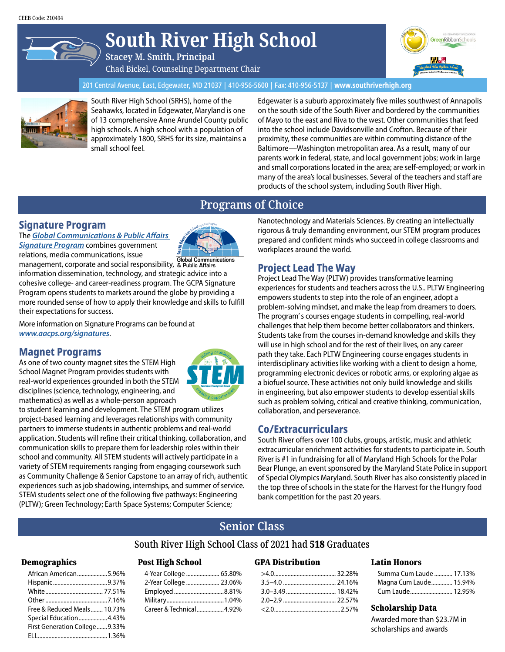# **South River High School**

**Stacey M. Smith, Principal** Chad Bickel, Counseling Department Chair



201 Central Avenue, East, Edgewater, MD 21037 | 410-956-5600 | Fax: 410-956-5137 | **www.southriverhigh.org**



South River High School (SRHS), home of the Seahawks, located in Edgewater, Maryland is one of 13 comprehensive Anne Arundel County public high schools. A high school with a population of approximately 1800, SRHS for its size, maintains a small school feel.

Edgewater is a suburb approximately five miles southwest of Annapolis on the south side of the South River and bordered by the communities of Mayo to the east and Riva to the west. Other communities that feed into the school include Davidsonville and Crofton. Because of their proximity, these communities are within commuting distance of the Baltimore—Washington metropolitan area. As a result, many of our parents work in federal, state, and local government jobs; work in large and small corporations located in the area; are self-employed; or work in many of the area's local businesses. Several of the teachers and staff are products of the school system, including South River High.

# **Programs of Choice**

## **Signature Program**

The *[Global Communications & Public Affairs](www.aacps.org/southriversignature)  [Signature Program](www.aacps.org/southriversignature)* combines government relations, media communications, issue



management, corporate and social responsibility, & Public Affairs information dissemination, technology, and strategic advice into a cohesive college- and career-readiness program. The GCPA Signature Program opens students to markets around the globe by providing a more rounded sense of how to apply their knowledge and skills to fulfill their expectations for success.

More information on Signature Programs can be found at *www.aacps.org/signatures*.

### **Magnet Programs**

As one of two county magnet sites the STEM High School Magnet Program provides students with real-world experiences grounded in both the STEM disciplines (science, technology, engineering, and mathematics) as well as a whole-person approach



to student learning and development. The STEM program utilizes project-based learning and leverages relationships with community partners to immerse students in authentic problems and real-world application. Students will refine their critical thinking, collaboration, and communication skills to prepare them for leadership roles within their school and community. All STEM students will actively participate in a variety of STEM requirements ranging from engaging coursework such as Community Challenge & Senior Capstone to an array of rich, authentic experiences such as job shadowing, internships, and summer of service. STEM students select one of the following five pathways: Engineering (PLTW); Green Technology; Earth Space Systems; Computer Science;

Nanotechnology and Materials Sciences. By creating an intellectually rigorous & truly demanding environment, our STEM program produces prepared and confident minds who succeed in college classrooms and workplaces around the world.

# **Project Lead The Way**

Project Lead The Way (PLTW) provides transformative learning experiences for students and teachers across the U.S.. PLTW Engineering empowers students to step into the role of an engineer, adopt a problem-solving mindset, and make the leap from dreamers to doers. The program' s courses engage students in compelling, real-world challenges that help them become better collaborators and thinkers. Students take from the courses in-demand knowledge and skills they will use in high school and for the rest of their lives, on any career path they take. Each PLTW Engineering course engages students in interdisciplinary activities like working with a client to design a home, programming electronic devices or robotic arms, or exploring algae as a biofuel source. These activities not only build knowledge and skills in engineering, but also empower students to develop essential skills such as problem solving, critical and creative thinking, communication, collaboration, and perseverance.

# **Co/Extracurriculars**

South River offers over 100 clubs, groups, artistic, music and athletic extracurricular enrichment activities for students to participate in. South River is #1 in fundraising for all of Maryland High Schools for the Polar Bear Plunge, an event sponsored by the Maryland State Police in support of Special Olympics Maryland. South River has also consistently placed in the top three of schools in the state for the Harvest for the Hungry food bank competition for the past 20 years.

# **Senior Class**

### South River High School Class of 2021 had 518 Graduates

#### Demographics

| African American5.96%         |  |
|-------------------------------|--|
|                               |  |
|                               |  |
|                               |  |
| Free & Reduced Meals 10.73%   |  |
| Special Education4.43%        |  |
| First Generation College9.33% |  |
|                               |  |
|                               |  |

#### Post High School

| 4-Year College  65.80%  |  |
|-------------------------|--|
| 2-Year College  23.06%  |  |
|                         |  |
|                         |  |
| Career & Technical4.92% |  |

#### GPA Distribution

#### Latin Honors

| Summa Cum Laude  17.13% |  |
|-------------------------|--|
| Magna Cum Laude 15.94%  |  |
| Cum Laude 12.95%        |  |

#### Scholarship Data

Awarded more than \$23.7M in scholarships and awards